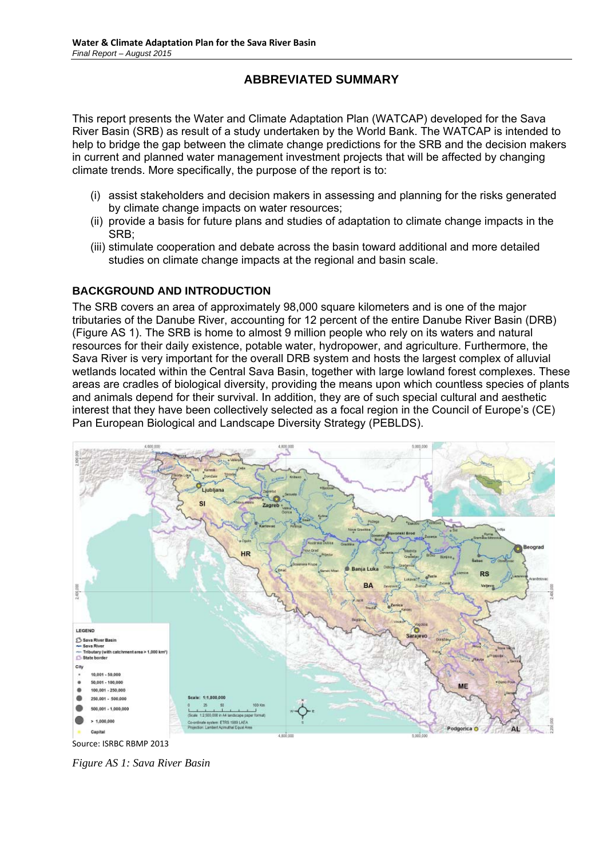# **ABBREVIATED SUMMARY**

This report presents the Water and Climate Adaptation Plan (WATCAP) developed for the Sava River Basin (SRB) as result of a study undertaken by the World Bank. The WATCAP is intended to help to bridge the gap between the climate change predictions for the SRB and the decision makers in current and planned water management investment projects that will be affected by changing climate trends. More specifically, the purpose of the report is to:

- (i) assist stakeholders and decision makers in assessing and planning for the risks generated by climate change impacts on water resources;
- (ii) provide a basis for future plans and studies of adaptation to climate change impacts in the SRB;
- (iii) stimulate cooperation and debate across the basin toward additional and more detailed studies on climate change impacts at the regional and basin scale.

### **BACKGROUND AND INTRODUCTION**

The SRB covers an area of approximately 98,000 square kilometers and is one of the major tributaries of the Danube River, accounting for 12 percent of the entire Danube River Basin (DRB) (Figure AS 1). The SRB is home to almost 9 million people who rely on its waters and natural resources for their daily existence, potable water, hydropower, and agriculture. Furthermore, the Sava River is very important for the overall DRB system and hosts the largest complex of alluvial wetlands located within the Central Sava Basin, together with large lowland forest complexes. These areas are cradles of biological diversity, providing the means upon which countless species of plants and animals depend for their survival. In addition, they are of such special cultural and aesthetic interest that they have been collectively selected as a focal region in the Council of Europe's (CE) Pan European Biological and Landscape Diversity Strategy (PEBLDS).



*Figure AS 1: Sava River Basin*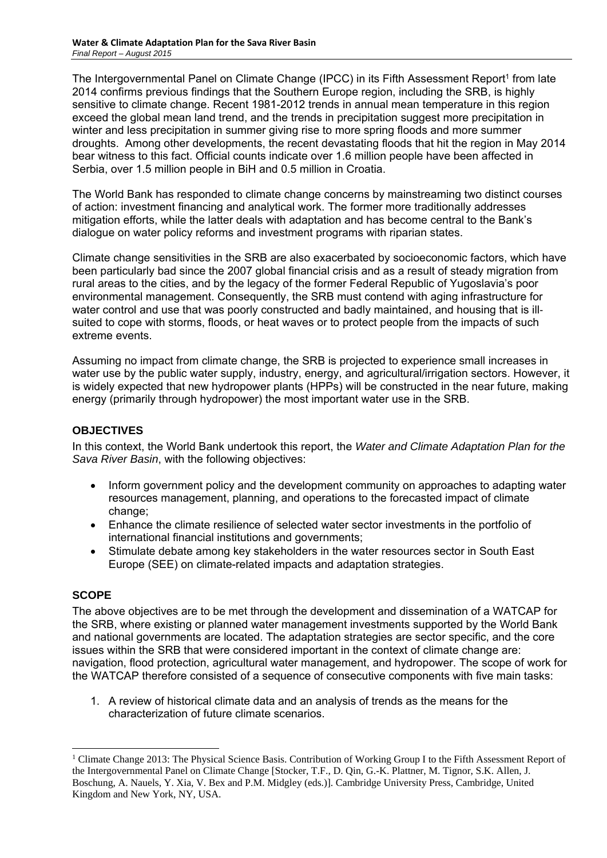The Intergovernmental Panel on Climate Change (IPCC) in its Fifth Assessment Report<sup>1</sup> from late 2014 confirms previous findings that the Southern Europe region, including the SRB, is highly sensitive to climate change. Recent 1981-2012 trends in annual mean temperature in this region exceed the global mean land trend, and the trends in precipitation suggest more precipitation in winter and less precipitation in summer giving rise to more spring floods and more summer droughts. Among other developments, the recent devastating floods that hit the region in May 2014 bear witness to this fact. Official counts indicate over 1.6 million people have been affected in Serbia, over 1.5 million people in BiH and 0.5 million in Croatia.

The World Bank has responded to climate change concerns by mainstreaming two distinct courses of action: investment financing and analytical work. The former more traditionally addresses mitigation efforts, while the latter deals with adaptation and has become central to the Bank's dialogue on water policy reforms and investment programs with riparian states.

Climate change sensitivities in the SRB are also exacerbated by socioeconomic factors, which have been particularly bad since the 2007 global financial crisis and as a result of steady migration from rural areas to the cities, and by the legacy of the former Federal Republic of Yugoslavia's poor environmental management. Consequently, the SRB must contend with aging infrastructure for water control and use that was poorly constructed and badly maintained, and housing that is illsuited to cope with storms, floods, or heat waves or to protect people from the impacts of such extreme events.

Assuming no impact from climate change, the SRB is projected to experience small increases in water use by the public water supply, industry, energy, and agricultural/irrigation sectors. However, it is widely expected that new hydropower plants (HPPs) will be constructed in the near future, making energy (primarily through hydropower) the most important water use in the SRB.

# **OBJECTIVES**

In this context, the World Bank undertook this report, the *Water and Climate Adaptation Plan for the Sava River Basin*, with the following objectives:

- Inform government policy and the development community on approaches to adapting water resources management, planning, and operations to the forecasted impact of climate change;
- Enhance the climate resilience of selected water sector investments in the portfolio of international financial institutions and governments;
- Stimulate debate among key stakeholders in the water resources sector in South East Europe (SEE) on climate-related impacts and adaptation strategies.

#### **SCOPE**

-

The above objectives are to be met through the development and dissemination of a WATCAP for the SRB, where existing or planned water management investments supported by the World Bank and national governments are located. The adaptation strategies are sector specific, and the core issues within the SRB that were considered important in the context of climate change are: navigation, flood protection, agricultural water management, and hydropower. The scope of work for the WATCAP therefore consisted of a sequence of consecutive components with five main tasks:

1. A review of historical climate data and an analysis of trends as the means for the characterization of future climate scenarios.

<sup>&</sup>lt;sup>1</sup> Climate Change 2013: The Physical Science Basis. Contribution of Working Group I to the Fifth Assessment Report of the Intergovernmental Panel on Climate Change [Stocker, T.F., D. Qin, G.-K. Plattner, M. Tignor, S.K. Allen, J. Boschung, A. Nauels, Y. Xia, V. Bex and P.M. Midgley (eds.)]. Cambridge University Press, Cambridge, United Kingdom and New York, NY, USA.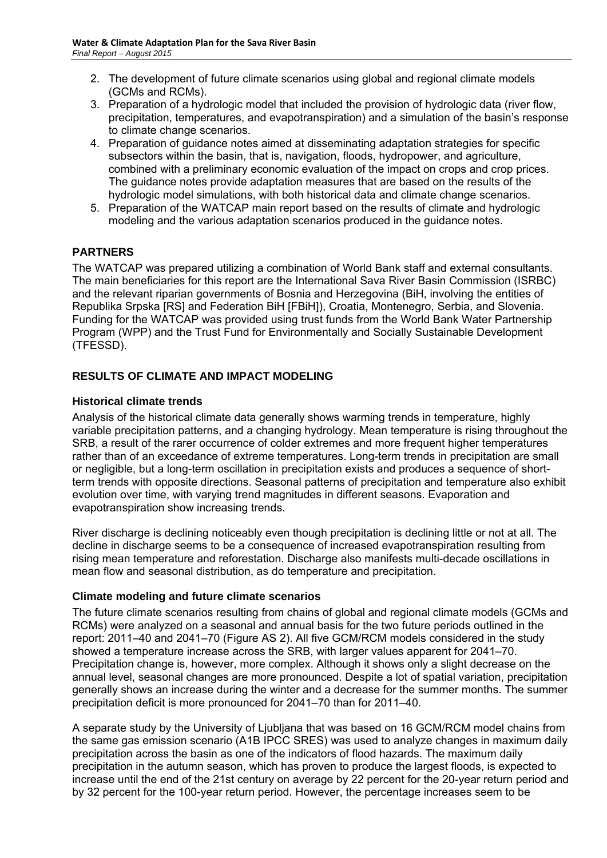- 2. The development of future climate scenarios using global and regional climate models (GCMs and RCMs).
- 3. Preparation of a hydrologic model that included the provision of hydrologic data (river flow, precipitation, temperatures, and evapotranspiration) and a simulation of the basin's response to climate change scenarios.
- 4. Preparation of guidance notes aimed at disseminating adaptation strategies for specific subsectors within the basin, that is, navigation, floods, hydropower, and agriculture, combined with a preliminary economic evaluation of the impact on crops and crop prices. The guidance notes provide adaptation measures that are based on the results of the hydrologic model simulations, with both historical data and climate change scenarios.
- 5. Preparation of the WATCAP main report based on the results of climate and hydrologic modeling and the various adaptation scenarios produced in the guidance notes.

# **PARTNERS**

The WATCAP was prepared utilizing a combination of World Bank staff and external consultants. The main beneficiaries for this report are the International Sava River Basin Commission (ISRBC) and the relevant riparian governments of Bosnia and Herzegovina (BiH, involving the entities of Republika Srpska [RS] and Federation BiH [FBiH]), Croatia, Montenegro, Serbia, and Slovenia. Funding for the WATCAP was provided using trust funds from the World Bank Water Partnership Program (WPP) and the Trust Fund for Environmentally and Socially Sustainable Development (TFESSD).

# **RESULTS OF CLIMATE AND IMPACT MODELING**

#### **Historical climate trends**

Analysis of the historical climate data generally shows warming trends in temperature, highly variable precipitation patterns, and a changing hydrology. Mean temperature is rising throughout the SRB, a result of the rarer occurrence of colder extremes and more frequent higher temperatures rather than of an exceedance of extreme temperatures. Long-term trends in precipitation are small or negligible, but a long-term oscillation in precipitation exists and produces a sequence of shortterm trends with opposite directions. Seasonal patterns of precipitation and temperature also exhibit evolution over time, with varying trend magnitudes in different seasons. Evaporation and evapotranspiration show increasing trends.

River discharge is declining noticeably even though precipitation is declining little or not at all. The decline in discharge seems to be a consequence of increased evapotranspiration resulting from rising mean temperature and reforestation. Discharge also manifests multi-decade oscillations in mean flow and seasonal distribution, as do temperature and precipitation.

#### **Climate modeling and future climate scenarios**

The future climate scenarios resulting from chains of global and regional climate models (GCMs and RCMs) were analyzed on a seasonal and annual basis for the two future periods outlined in the report: 2011–40 and 2041–70 (Figure AS 2). All five GCM/RCM models considered in the study showed a temperature increase across the SRB, with larger values apparent for 2041–70. Precipitation change is, however, more complex. Although it shows only a slight decrease on the annual level, seasonal changes are more pronounced. Despite a lot of spatial variation, precipitation generally shows an increase during the winter and a decrease for the summer months. The summer precipitation deficit is more pronounced for 2041–70 than for 2011–40.

A separate study by the University of Ljubljana that was based on 16 GCM/RCM model chains from the same gas emission scenario (A1B IPCC SRES) was used to analyze changes in maximum daily precipitation across the basin as one of the indicators of flood hazards. The maximum daily precipitation in the autumn season, which has proven to produce the largest floods, is expected to increase until the end of the 21st century on average by 22 percent for the 20-year return period and by 32 percent for the 100-year return period. However, the percentage increases seem to be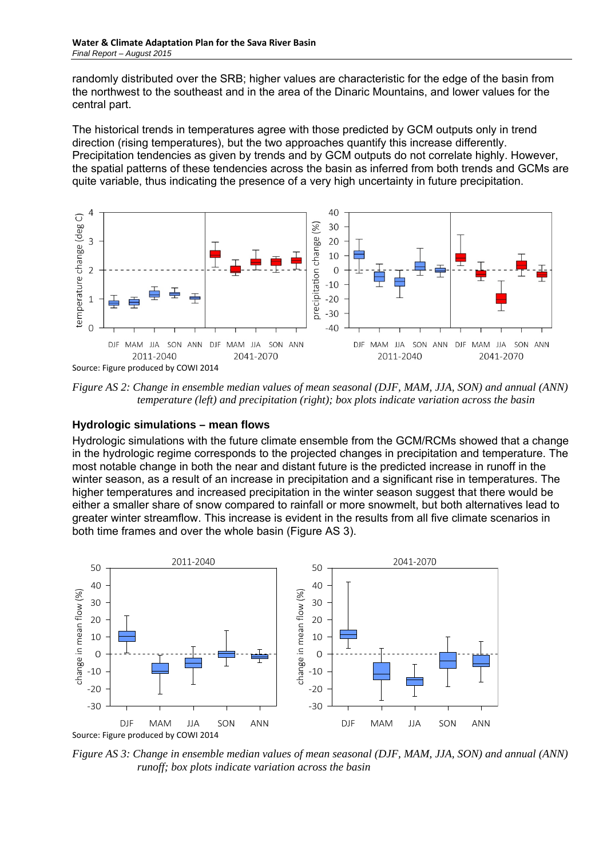randomly distributed over the SRB; higher values are characteristic for the edge of the basin from the northwest to the southeast and in the area of the Dinaric Mountains, and lower values for the central part.

The historical trends in temperatures agree with those predicted by GCM outputs only in trend direction (rising temperatures), but the two approaches quantify this increase differently. Precipitation tendencies as given by trends and by GCM outputs do not correlate highly. However, the spatial patterns of these tendencies across the basin as inferred from both trends and GCMs are quite variable, thus indicating the presence of a very high uncertainty in future precipitation.



*Figure AS 2: Change in ensemble median values of mean seasonal (DJF, MAM, JJA, SON) and annual (ANN) temperature (left) and precipitation (right); box plots indicate variation across the basin* 

#### **Hydrologic simulations – mean flows**

Hydrologic simulations with the future climate ensemble from the GCM/RCMs showed that a change in the hydrologic regime corresponds to the projected changes in precipitation and temperature. The most notable change in both the near and distant future is the predicted increase in runoff in the winter season, as a result of an increase in precipitation and a significant rise in temperatures. The higher temperatures and increased precipitation in the winter season suggest that there would be either a smaller share of snow compared to rainfall or more snowmelt, but both alternatives lead to greater winter streamflow. This increase is evident in the results from all five climate scenarios in both time frames and over the whole basin (Figure AS 3).



*Figure AS 3: Change in ensemble median values of mean seasonal (DJF, MAM, JJA, SON) and annual (ANN) runoff; box plots indicate variation across the basin*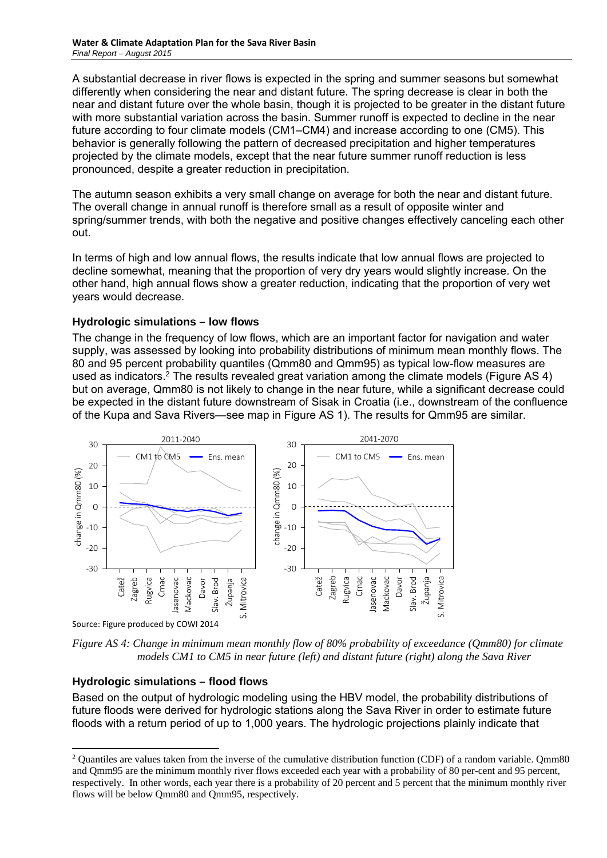A substantial decrease in river flows is expected in the spring and summer seasons but somewhat differently when considering the near and distant future. The spring decrease is clear in both the near and distant future over the whole basin, though it is projected to be greater in the distant future with more substantial variation across the basin. Summer runoff is expected to decline in the near future according to four climate models (CM1–CM4) and increase according to one (CM5). This behavior is generally following the pattern of decreased precipitation and higher temperatures projected by the climate models, except that the near future summer runoff reduction is less pronounced, despite a greater reduction in precipitation.

The autumn season exhibits a very small change on average for both the near and distant future. The overall change in annual runoff is therefore small as a result of opposite winter and spring/summer trends, with both the negative and positive changes effectively canceling each other out.

In terms of high and low annual flows, the results indicate that low annual flows are projected to decline somewhat, meaning that the proportion of very dry years would slightly increase. On the other hand, high annual flows show a greater reduction, indicating that the proportion of very wet years would decrease.

### **Hydrologic simulations – low flows**

The change in the frequency of low flows, which are an important factor for navigation and water supply, was assessed by looking into probability distributions of minimum mean monthly flows. The 80 and 95 percent probability quantiles (Qmm80 and Qmm95) as typical low-flow measures are used as indicators.2 The results revealed great variation among the climate models (Figure AS 4) but on average, Qmm80 is not likely to change in the near future, while a significant decrease could be expected in the distant future downstream of Sisak in Croatia (i.e., downstream of the confluence of the Kupa and Sava Rivers—see map in Figure AS 1). The results for Qmm95 are similar.



*Figure AS 4: Change in minimum mean monthly flow of 80% probability of exceedance (Qmm80) for climate models CM1 to CM5 in near future (left) and distant future (right) along the Sava River* 

# **Hydrologic simulations – flood flows**

-

Based on the output of hydrologic modeling using the HBV model, the probability distributions of future floods were derived for hydrologic stations along the Sava River in order to estimate future floods with a return period of up to 1,000 years. The hydrologic projections plainly indicate that

<sup>&</sup>lt;sup>2</sup> Quantiles are values taken from the inverse of the cumulative distribution function (CDF) of a random variable. Qmm80 and Qmm95 are the minimum monthly river flows exceeded each year with a probability of 80 per-cent and 95 percent, respectively. In other words, each year there is a probability of 20 percent and 5 percent that the minimum monthly river flows will be below Qmm80 and Qmm95, respectively.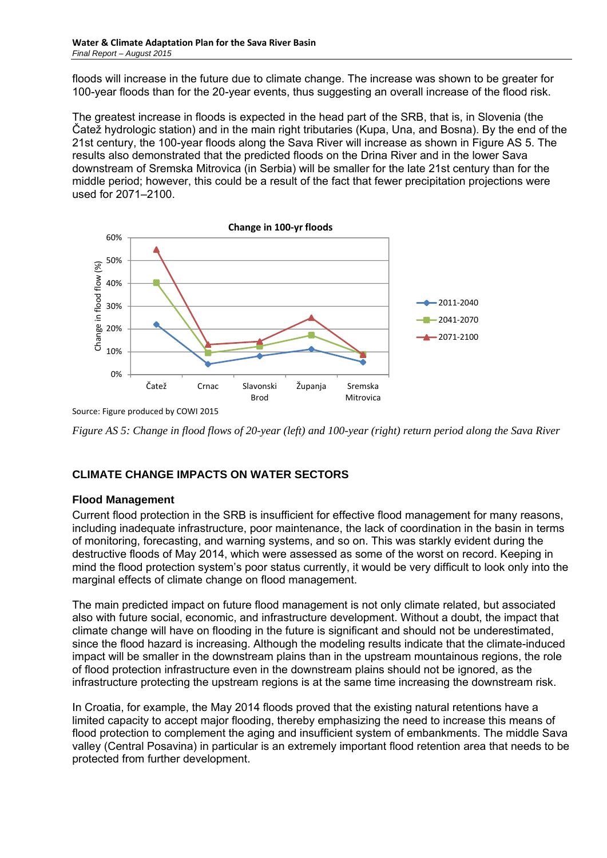floods will increase in the future due to climate change. The increase was shown to be greater for 100-year floods than for the 20-year events, thus suggesting an overall increase of the flood risk.

The greatest increase in floods is expected in the head part of the SRB, that is, in Slovenia (the Čatež hydrologic station) and in the main right tributaries (Kupa, Una, and Bosna). By the end of the 21st century, the 100-year floods along the Sava River will increase as shown in Figure AS 5. The results also demonstrated that the predicted floods on the Drina River and in the lower Sava downstream of Sremska Mitrovica (in Serbia) will be smaller for the late 21st century than for the middle period; however, this could be a result of the fact that fewer precipitation projections were used for 2071–2100.



Source: Figure produced by COWI 2015

*Figure AS 5: Change in flood flows of 20-year (left) and 100-year (right) return period along the Sava River* 

# **CLIMATE CHANGE IMPACTS ON WATER SECTORS**

# **Flood Management**

Current flood protection in the SRB is insufficient for effective flood management for many reasons, including inadequate infrastructure, poor maintenance, the lack of coordination in the basin in terms of monitoring, forecasting, and warning systems, and so on. This was starkly evident during the destructive floods of May 2014, which were assessed as some of the worst on record. Keeping in mind the flood protection system's poor status currently, it would be very difficult to look only into the marginal effects of climate change on flood management.

The main predicted impact on future flood management is not only climate related, but associated also with future social, economic, and infrastructure development. Without a doubt, the impact that climate change will have on flooding in the future is significant and should not be underestimated, since the flood hazard is increasing. Although the modeling results indicate that the climate-induced impact will be smaller in the downstream plains than in the upstream mountainous regions, the role of flood protection infrastructure even in the downstream plains should not be ignored, as the infrastructure protecting the upstream regions is at the same time increasing the downstream risk.

In Croatia, for example, the May 2014 floods proved that the existing natural retentions have a limited capacity to accept major flooding, thereby emphasizing the need to increase this means of flood protection to complement the aging and insufficient system of embankments. The middle Sava valley (Central Posavina) in particular is an extremely important flood retention area that needs to be protected from further development.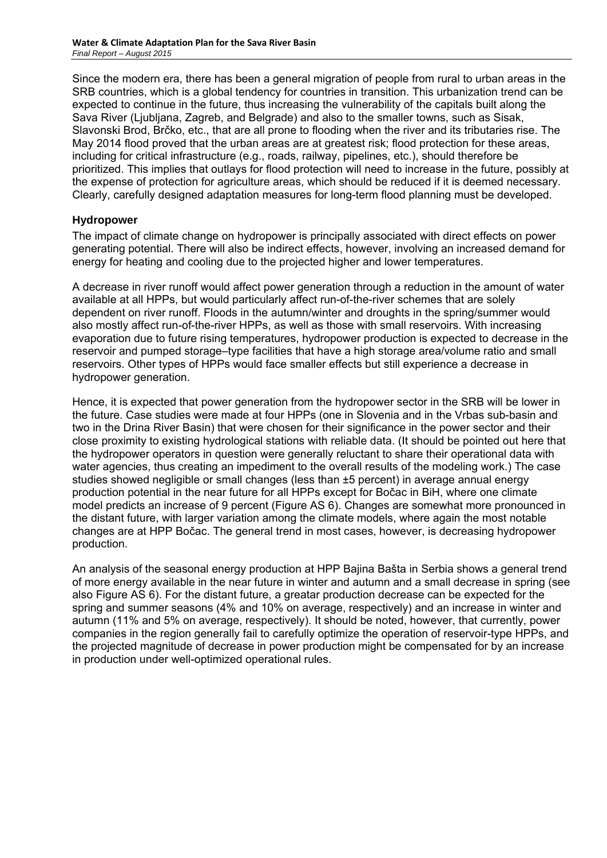Since the modern era, there has been a general migration of people from rural to urban areas in the SRB countries, which is a global tendency for countries in transition. This urbanization trend can be expected to continue in the future, thus increasing the vulnerability of the capitals built along the Sava River (Ljubljana, Zagreb, and Belgrade) and also to the smaller towns, such as Sisak, Slavonski Brod, Brčko, etc., that are all prone to flooding when the river and its tributaries rise. The May 2014 flood proved that the urban areas are at greatest risk; flood protection for these areas, including for critical infrastructure (e.g., roads, railway, pipelines, etc.), should therefore be prioritized. This implies that outlays for flood protection will need to increase in the future, possibly at the expense of protection for agriculture areas, which should be reduced if it is deemed necessary. Clearly, carefully designed adaptation measures for long-term flood planning must be developed.

### **Hydropower**

The impact of climate change on hydropower is principally associated with direct effects on power generating potential. There will also be indirect effects, however, involving an increased demand for energy for heating and cooling due to the projected higher and lower temperatures.

A decrease in river runoff would affect power generation through a reduction in the amount of water available at all HPPs, but would particularly affect run-of-the-river schemes that are solely dependent on river runoff. Floods in the autumn/winter and droughts in the spring/summer would also mostly affect run-of-the-river HPPs, as well as those with small reservoirs. With increasing evaporation due to future rising temperatures, hydropower production is expected to decrease in the reservoir and pumped storage–type facilities that have a high storage area/volume ratio and small reservoirs. Other types of HPPs would face smaller effects but still experience a decrease in hydropower generation.

Hence, it is expected that power generation from the hydropower sector in the SRB will be lower in the future. Case studies were made at four HPPs (one in Slovenia and in the Vrbas sub-basin and two in the Drina River Basin) that were chosen for their significance in the power sector and their close proximity to existing hydrological stations with reliable data. (It should be pointed out here that the hydropower operators in question were generally reluctant to share their operational data with water agencies, thus creating an impediment to the overall results of the modeling work.) The case studies showed negligible or small changes (less than ±5 percent) in average annual energy production potential in the near future for all HPPs except for Bočac in BiH, where one climate model predicts an increase of 9 percent (Figure AS 6). Changes are somewhat more pronounced in the distant future, with larger variation among the climate models, where again the most notable changes are at HPP Bočac. The general trend in most cases, however, is decreasing hydropower production.

An analysis of the seasonal energy production at HPP Bajina Bašta in Serbia shows a general trend of more energy available in the near future in winter and autumn and a small decrease in spring (see also Figure AS 6). For the distant future, a greatar production decrease can be expected for the spring and summer seasons (4% and 10% on average, respectively) and an increase in winter and autumn (11% and 5% on average, respectively). It should be noted, however, that currently, power companies in the region generally fail to carefully optimize the operation of reservoir-type HPPs, and the projected magnitude of decrease in power production might be compensated for by an increase in production under well-optimized operational rules.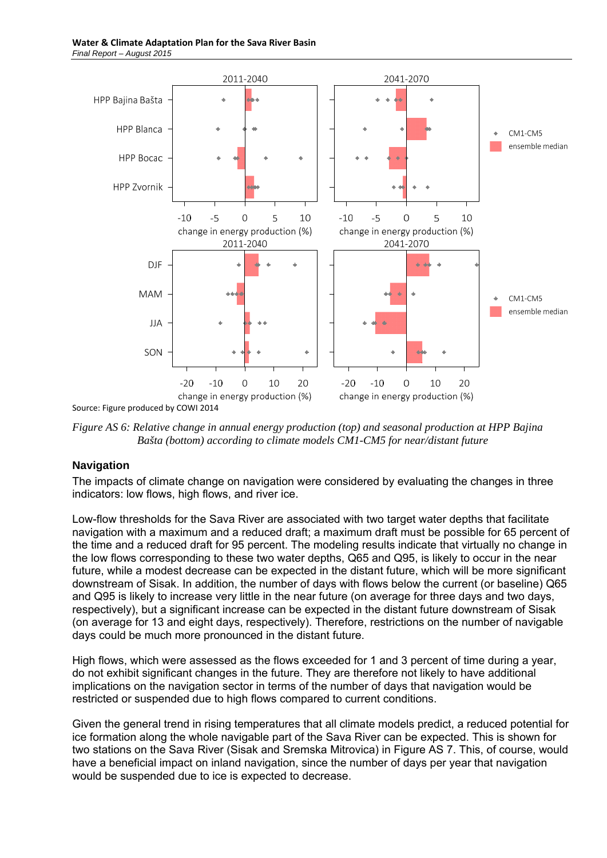

Source: Figure produced by COWI 2014

*Figure AS 6: Relative change in annual energy production (top) and seasonal production at HPP Bajina Bašta (bottom) according to climate models CM1-CM5 for near/distant future* 

#### **Navigation**

The impacts of climate change on navigation were considered by evaluating the changes in three indicators: low flows, high flows, and river ice.

Low-flow thresholds for the Sava River are associated with two target water depths that facilitate navigation with a maximum and a reduced draft; a maximum draft must be possible for 65 percent of the time and a reduced draft for 95 percent. The modeling results indicate that virtually no change in the low flows corresponding to these two water depths, Q65 and Q95, is likely to occur in the near future, while a modest decrease can be expected in the distant future, which will be more significant downstream of Sisak. In addition, the number of days with flows below the current (or baseline) Q65 and Q95 is likely to increase very little in the near future (on average for three days and two days, respectively), but a significant increase can be expected in the distant future downstream of Sisak (on average for 13 and eight days, respectively). Therefore, restrictions on the number of navigable days could be much more pronounced in the distant future.

High flows, which were assessed as the flows exceeded for 1 and 3 percent of time during a year, do not exhibit significant changes in the future. They are therefore not likely to have additional implications on the navigation sector in terms of the number of days that navigation would be restricted or suspended due to high flows compared to current conditions.

Given the general trend in rising temperatures that all climate models predict, a reduced potential for ice formation along the whole navigable part of the Sava River can be expected. This is shown for two stations on the Sava River (Sisak and Sremska Mitrovica) in Figure AS 7. This, of course, would have a beneficial impact on inland navigation, since the number of days per year that navigation would be suspended due to ice is expected to decrease.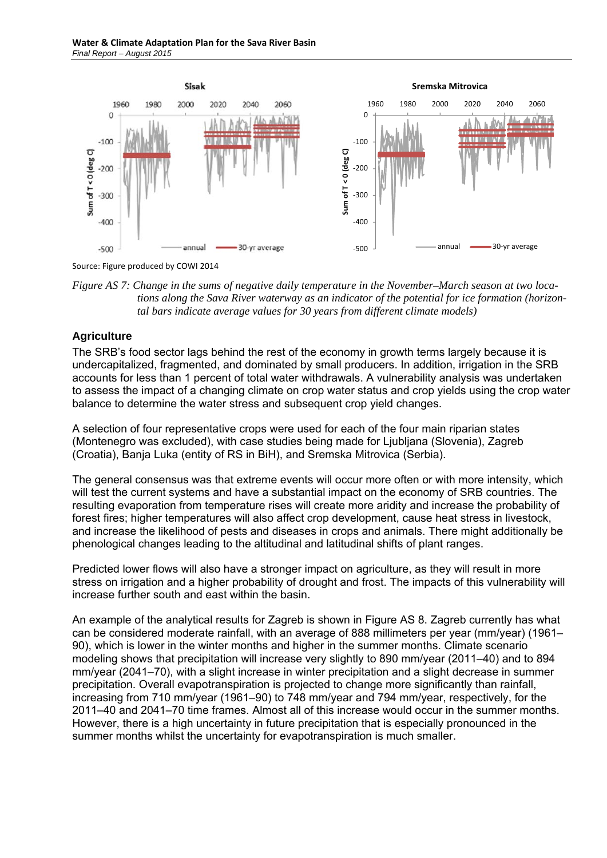

Source: Figure produced by COWI 2014

*Figure AS 7: Change in the sums of negative daily temperature in the November–March season at two locations along the Sava River waterway as an indicator of the potential for ice formation (horizontal bars indicate average values for 30 years from different climate models)* 

# **Agriculture**

The SRB's food sector lags behind the rest of the economy in growth terms largely because it is undercapitalized, fragmented, and dominated by small producers. In addition, irrigation in the SRB accounts for less than 1 percent of total water withdrawals. A vulnerability analysis was undertaken to assess the impact of a changing climate on crop water status and crop yields using the crop water balance to determine the water stress and subsequent crop yield changes.

A selection of four representative crops were used for each of the four main riparian states (Montenegro was excluded), with case studies being made for Ljubljana (Slovenia), Zagreb (Croatia), Banja Luka (entity of RS in BiH), and Sremska Mitrovica (Serbia).

The general consensus was that extreme events will occur more often or with more intensity, which will test the current systems and have a substantial impact on the economy of SRB countries. The resulting evaporation from temperature rises will create more aridity and increase the probability of forest fires; higher temperatures will also affect crop development, cause heat stress in livestock, and increase the likelihood of pests and diseases in crops and animals. There might additionally be phenological changes leading to the altitudinal and latitudinal shifts of plant ranges.

Predicted lower flows will also have a stronger impact on agriculture, as they will result in more stress on irrigation and a higher probability of drought and frost. The impacts of this vulnerability will increase further south and east within the basin.

An example of the analytical results for Zagreb is shown in Figure AS 8. Zagreb currently has what can be considered moderate rainfall, with an average of 888 millimeters per year (mm/year) (1961– 90), which is lower in the winter months and higher in the summer months. Climate scenario modeling shows that precipitation will increase very slightly to 890 mm/year (2011–40) and to 894 mm/year (2041–70), with a slight increase in winter precipitation and a slight decrease in summer precipitation. Overall evapotranspiration is projected to change more significantly than rainfall, increasing from 710 mm/year (1961–90) to 748 mm/year and 794 mm/year, respectively, for the 2011–40 and 2041–70 time frames. Almost all of this increase would occur in the summer months. However, there is a high uncertainty in future precipitation that is especially pronounced in the summer months whilst the uncertainty for evapotranspiration is much smaller.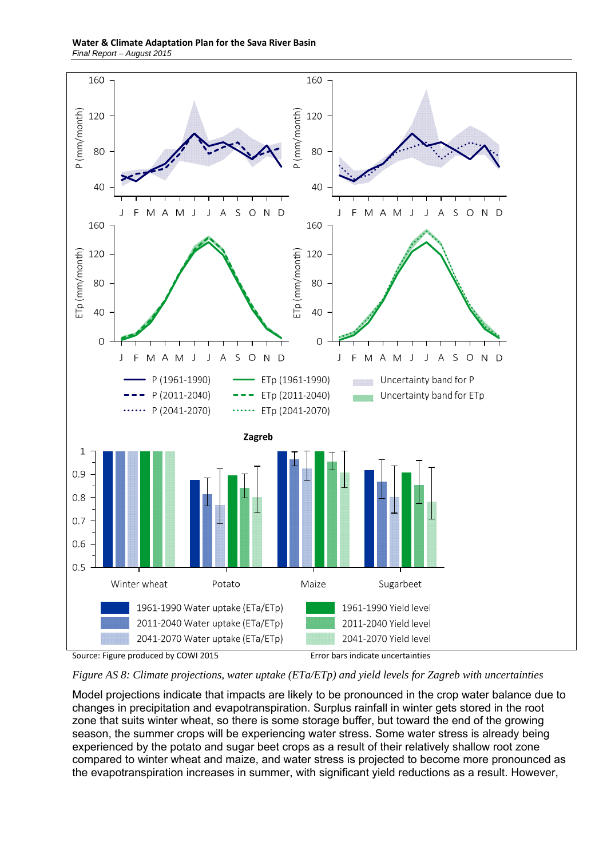**Water & Climate Adaptation Plan for the Sava River Basin**  *Final Report – August 2015* 



*Figure AS 8: Climate projections, water uptake (ETa/ETp) and yield levels for Zagreb with uncertainties* 

Model projections indicate that impacts are likely to be pronounced in the crop water balance due to changes in precipitation and evapotranspiration. Surplus rainfall in winter gets stored in the root zone that suits winter wheat, so there is some storage buffer, but toward the end of the growing season, the summer crops will be experiencing water stress. Some water stress is already being experienced by the potato and sugar beet crops as a result of their relatively shallow root zone compared to winter wheat and maize, and water stress is projected to become more pronounced as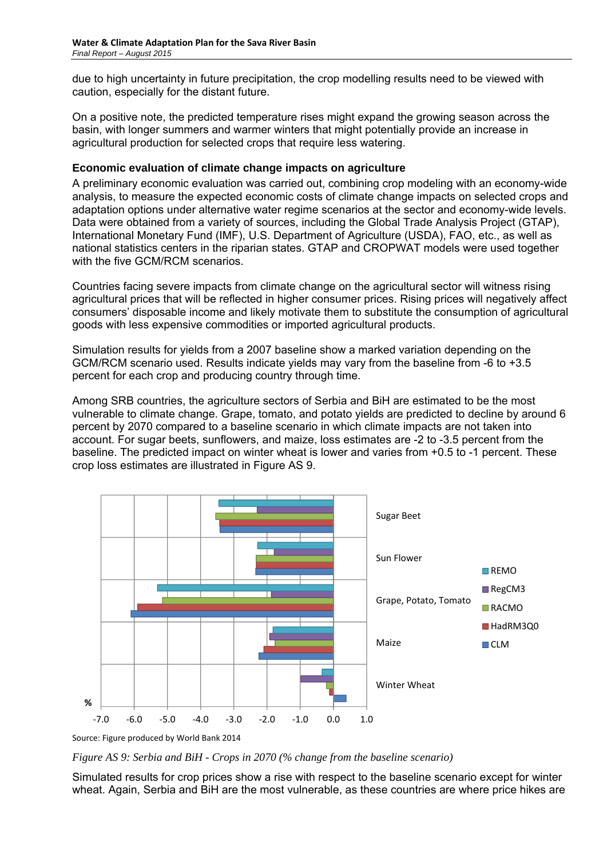due to high uncertainty in future precipitation, the crop modelling results need to be viewed with caution, especially for the distant future.

On a positive note, the predicted temperature rises might expand the growing season across the basin, with longer summers and warmer winters that might potentially provide an increase in agricultural production for selected crops that require less watering.

### **Economic evaluation of climate change impacts on agriculture**

A preliminary economic evaluation was carried out, combining crop modeling with an economy-wide analysis, to measure the expected economic costs of climate change impacts on selected crops and adaptation options under alternative water regime scenarios at the sector and economy-wide levels. Data were obtained from a variety of sources, including the Global Trade Analysis Project (GTAP), International Monetary Fund (IMF), U.S. Department of Agriculture (USDA), FAO, etc., as well as national statistics centers in the riparian states. GTAP and CROPWAT models were used together with the five GCM/RCM scenarios.

Countries facing severe impacts from climate change on the agricultural sector will witness rising agricultural prices that will be reflected in higher consumer prices. Rising prices will negatively affect consumers' disposable income and likely motivate them to substitute the consumption of agricultural goods with less expensive commodities or imported agricultural products.

Simulation results for yields from a 2007 baseline show a marked variation depending on the GCM/RCM scenario used. Results indicate yields may vary from the baseline from -6 to +3.5 percent for each crop and producing country through time.

Among SRB countries, the agriculture sectors of Serbia and BiH are estimated to be the most vulnerable to climate change. Grape, tomato, and potato yields are predicted to decline by around 6 percent by 2070 compared to a baseline scenario in which climate impacts are not taken into account. For sugar beets, sunflowers, and maize, loss estimates are -2 to -3.5 percent from the baseline. The predicted impact on winter wheat is lower and varies from +0.5 to -1 percent. These crop loss estimates are illustrated in Figure AS 9.



Source: Figure produced by World Bank 2014

*Figure AS 9: Serbia and BiH - Crops in 2070 (% change from the baseline scenario)* 

Simulated results for crop prices show a rise with respect to the baseline scenario except for winter wheat. Again, Serbia and BiH are the most vulnerable, as these countries are where price hikes are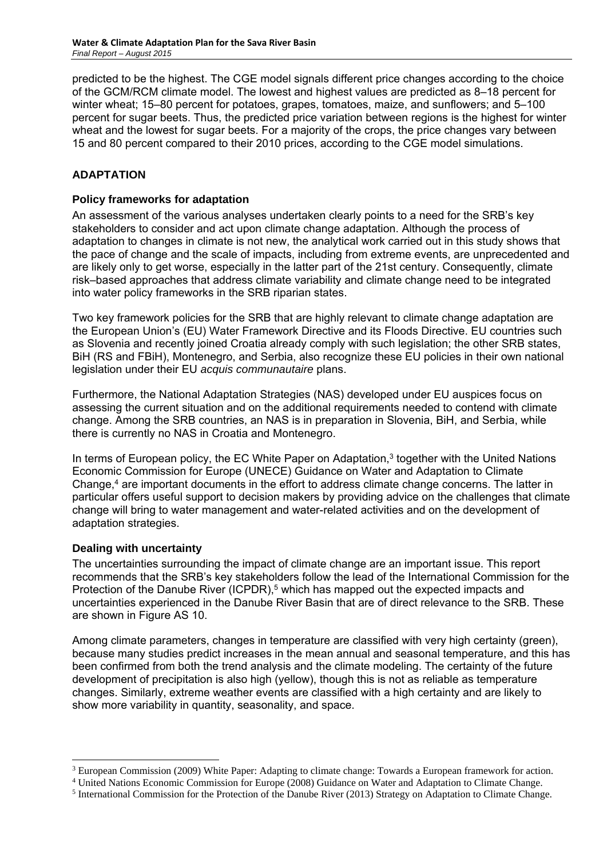predicted to be the highest. The CGE model signals different price changes according to the choice of the GCM/RCM climate model. The lowest and highest values are predicted as 8–18 percent for winter wheat; 15–80 percent for potatoes, grapes, tomatoes, maize, and sunflowers; and 5–100 percent for sugar beets. Thus, the predicted price variation between regions is the highest for winter wheat and the lowest for sugar beets. For a majority of the crops, the price changes vary between 15 and 80 percent compared to their 2010 prices, according to the CGE model simulations.

# **ADAPTATION**

### **Policy frameworks for adaptation**

An assessment of the various analyses undertaken clearly points to a need for the SRB's key stakeholders to consider and act upon climate change adaptation. Although the process of adaptation to changes in climate is not new, the analytical work carried out in this study shows that the pace of change and the scale of impacts, including from extreme events, are unprecedented and are likely only to get worse, especially in the latter part of the 21st century. Consequently, climate risk–based approaches that address climate variability and climate change need to be integrated into water policy frameworks in the SRB riparian states.

Two key framework policies for the SRB that are highly relevant to climate change adaptation are the European Union's (EU) Water Framework Directive and its Floods Directive. EU countries such as Slovenia and recently joined Croatia already comply with such legislation; the other SRB states, BiH (RS and FBiH), Montenegro, and Serbia, also recognize these EU policies in their own national legislation under their EU *acquis communautaire* plans.

Furthermore, the National Adaptation Strategies (NAS) developed under EU auspices focus on assessing the current situation and on the additional requirements needed to contend with climate change. Among the SRB countries, an NAS is in preparation in Slovenia, BiH, and Serbia, while there is currently no NAS in Croatia and Montenegro.

In terms of European policy, the EC White Paper on Adaptation,<sup>3</sup> together with the United Nations Economic Commission for Europe (UNECE) Guidance on Water and Adaptation to Climate Change,<sup>4</sup> are important documents in the effort to address climate change concerns. The latter in particular offers useful support to decision makers by providing advice on the challenges that climate change will bring to water management and water-related activities and on the development of adaptation strategies.

#### **Dealing with uncertainty**

-

The uncertainties surrounding the impact of climate change are an important issue. This report recommends that the SRB's key stakeholders follow the lead of the International Commission for the Protection of the Danube River (ICPDR),<sup>5</sup> which has mapped out the expected impacts and uncertainties experienced in the Danube River Basin that are of direct relevance to the SRB. These are shown in Figure AS 10.

Among climate parameters, changes in temperature are classified with very high certainty (green), because many studies predict increases in the mean annual and seasonal temperature, and this has been confirmed from both the trend analysis and the climate modeling. The certainty of the future development of precipitation is also high (yellow), though this is not as reliable as temperature changes. Similarly, extreme weather events are classified with a high certainty and are likely to show more variability in quantity, seasonality, and space.

<sup>&</sup>lt;sup>3</sup> European Commission (2009) White Paper: Adapting to climate change: Towards a European framework for action.

<sup>4</sup> United Nations Economic Commission for Europe (2008) Guidance on Water and Adaptation to Climate Change.

<sup>&</sup>lt;sup>5</sup> International Commission for the Protection of the Danube River (2013) Strategy on Adaptation to Climate Change.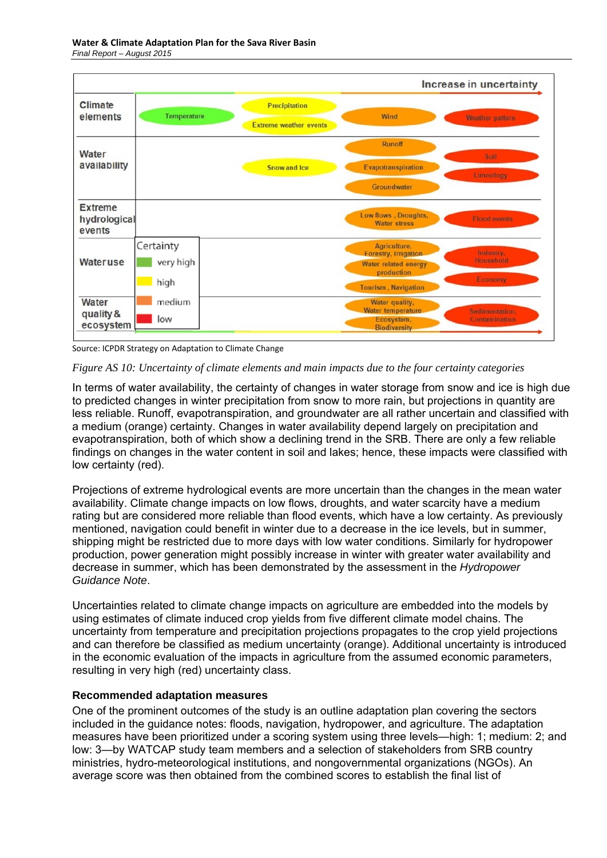



#### *Figure AS 10: Uncertainty of climate elements and main impacts due to the four certainty categories*

In terms of water availability, the certainty of changes in water storage from snow and ice is high due to predicted changes in winter precipitation from snow to more rain, but projections in quantity are less reliable. Runoff, evapotranspiration, and groundwater are all rather uncertain and classified with a medium (orange) certainty. Changes in water availability depend largely on precipitation and evapotranspiration, both of which show a declining trend in the SRB. There are only a few reliable findings on changes in the water content in soil and lakes; hence, these impacts were classified with low certainty (red).

Projections of extreme hydrological events are more uncertain than the changes in the mean water availability. Climate change impacts on low flows, droughts, and water scarcity have a medium rating but are considered more reliable than flood events, which have a low certainty. As previously mentioned, navigation could benefit in winter due to a decrease in the ice levels, but in summer, shipping might be restricted due to more days with low water conditions. Similarly for hydropower production, power generation might possibly increase in winter with greater water availability and decrease in summer, which has been demonstrated by the assessment in the *Hydropower Guidance Note*.

Uncertainties related to climate change impacts on agriculture are embedded into the models by using estimates of climate induced crop yields from five different climate model chains. The uncertainty from temperature and precipitation projections propagates to the crop yield projections and can therefore be classified as medium uncertainty (orange). Additional uncertainty is introduced in the economic evaluation of the impacts in agriculture from the assumed economic parameters, resulting in very high (red) uncertainty class.

#### **Recommended adaptation measures**

One of the prominent outcomes of the study is an outline adaptation plan covering the sectors included in the guidance notes: floods, navigation, hydropower, and agriculture. The adaptation measures have been prioritized under a scoring system using three levels—high: 1; medium: 2; and low: 3—by WATCAP study team members and a selection of stakeholders from SRB country ministries, hydro-meteorological institutions, and nongovernmental organizations (NGOs). An average score was then obtained from the combined scores to establish the final list of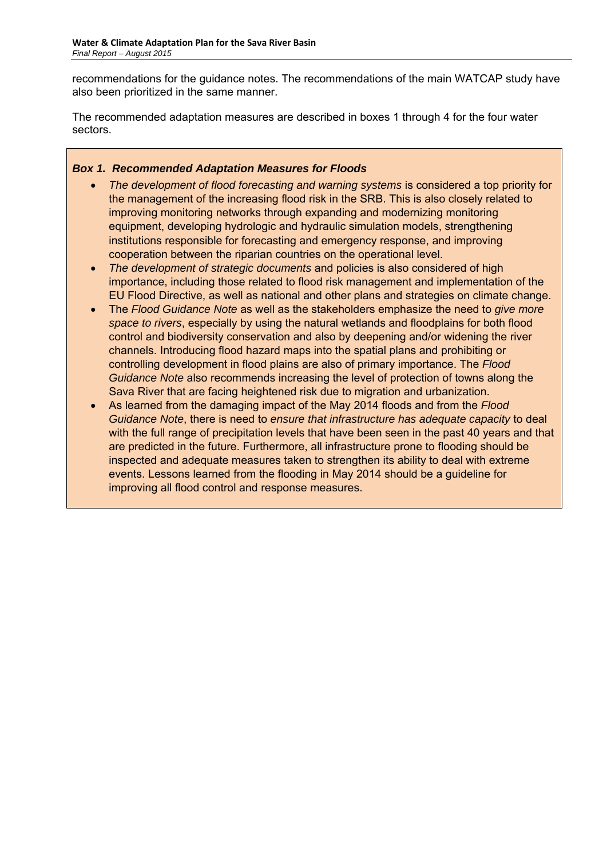recommendations for the guidance notes. The recommendations of the main WATCAP study have also been prioritized in the same manner.

The recommended adaptation measures are described in boxes 1 through 4 for the four water sectors.

### *Box 1. Recommended Adaptation Measures for Floods*

- *The development of flood forecasting and warning systems* is considered a top priority for the management of the increasing flood risk in the SRB. This is also closely related to improving monitoring networks through expanding and modernizing monitoring equipment, developing hydrologic and hydraulic simulation models, strengthening institutions responsible for forecasting and emergency response, and improving cooperation between the riparian countries on the operational level.
- *The development of strategic documents* and policies is also considered of high importance, including those related to flood risk management and implementation of the EU Flood Directive, as well as national and other plans and strategies on climate change.
- The *Flood Guidance Note* as well as the stakeholders emphasize the need to *give more space to rivers*, especially by using the natural wetlands and floodplains for both flood control and biodiversity conservation and also by deepening and/or widening the river channels. Introducing flood hazard maps into the spatial plans and prohibiting or controlling development in flood plains are also of primary importance. The *Flood Guidance Note* also recommends increasing the level of protection of towns along the Sava River that are facing heightened risk due to migration and urbanization.
- As learned from the damaging impact of the May 2014 floods and from the *Flood Guidance Note*, there is need to *ensure that infrastructure has adequate capacity* to deal with the full range of precipitation levels that have been seen in the past 40 years and that are predicted in the future. Furthermore, all infrastructure prone to flooding should be inspected and adequate measures taken to strengthen its ability to deal with extreme events. Lessons learned from the flooding in May 2014 should be a guideline for improving all flood control and response measures.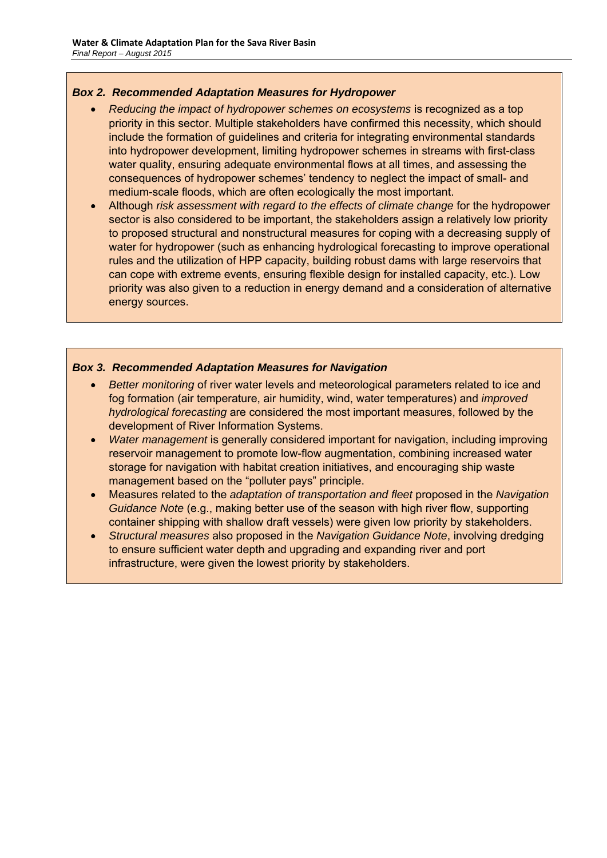### *Box 2. Recommended Adaptation Measures for Hydropower*

- *Reducing the impact of hydropower schemes on ecosystems* is recognized as a top priority in this sector. Multiple stakeholders have confirmed this necessity, which should include the formation of guidelines and criteria for integrating environmental standards into hydropower development, limiting hydropower schemes in streams with first-class water quality, ensuring adequate environmental flows at all times, and assessing the consequences of hydropower schemes' tendency to neglect the impact of small- and medium-scale floods, which are often ecologically the most important.
- Although *risk assessment with regard to the effects of climate change* for the hydropower sector is also considered to be important, the stakeholders assign a relatively low priority to proposed structural and nonstructural measures for coping with a decreasing supply of water for hydropower (such as enhancing hydrological forecasting to improve operational rules and the utilization of HPP capacity, building robust dams with large reservoirs that can cope with extreme events, ensuring flexible design for installed capacity, etc.). Low priority was also given to a reduction in energy demand and a consideration of alternative energy sources.

### *Box 3. Recommended Adaptation Measures for Navigation*

- *Better monitoring* of river water levels and meteorological parameters related to ice and fog formation (air temperature, air humidity, wind, water temperatures) and *improved hydrological forecasting* are considered the most important measures, followed by the development of River Information Systems.
- *Water management* is generally considered important for navigation, including improving reservoir management to promote low-flow augmentation, combining increased water storage for navigation with habitat creation initiatives, and encouraging ship waste management based on the "polluter pays" principle.
- Measures related to the *adaptation of transportation and fleet* proposed in the *Navigation Guidance Note* (e.g., making better use of the season with high river flow, supporting container shipping with shallow draft vessels) were given low priority by stakeholders.
- *Structural measures* also proposed in the *Navigation Guidance Note*, involving dredging to ensure sufficient water depth and upgrading and expanding river and port infrastructure, were given the lowest priority by stakeholders.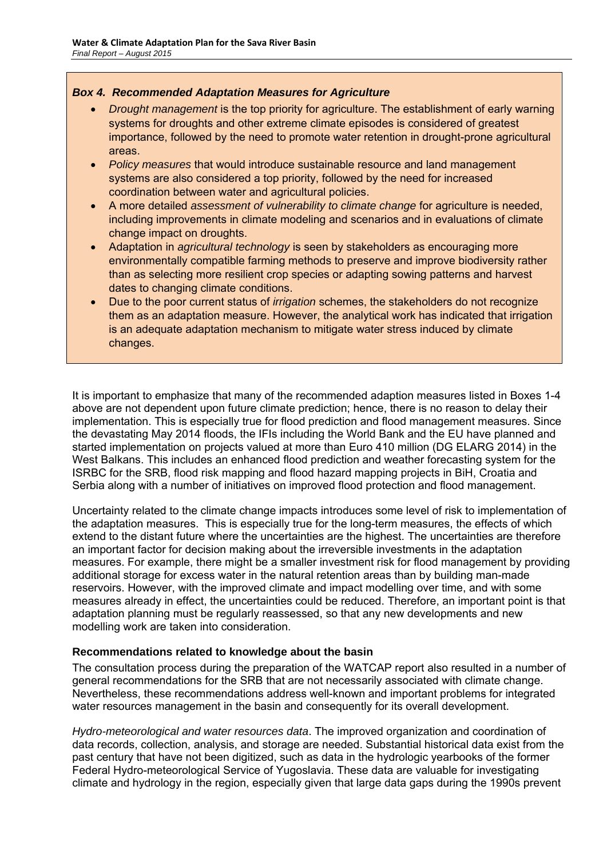### *Box 4. Recommended Adaptation Measures for Agriculture*

- *Drought management* is the top priority for agriculture. The establishment of early warning systems for droughts and other extreme climate episodes is considered of greatest importance, followed by the need to promote water retention in drought-prone agricultural areas.
- *Policy measures* that would introduce sustainable resource and land management systems are also considered a top priority, followed by the need for increased coordination between water and agricultural policies.
- A more detailed *assessment of vulnerability to climate change* for agriculture is needed, including improvements in climate modeling and scenarios and in evaluations of climate change impact on droughts.
- Adaptation in *agricultural technology* is seen by stakeholders as encouraging more environmentally compatible farming methods to preserve and improve biodiversity rather than as selecting more resilient crop species or adapting sowing patterns and harvest dates to changing climate conditions.
- Due to the poor current status of *irrigation* schemes, the stakeholders do not recognize them as an adaptation measure. However, the analytical work has indicated that irrigation is an adequate adaptation mechanism to mitigate water stress induced by climate changes.

It is important to emphasize that many of the recommended adaption measures listed in Boxes 1-4 above are not dependent upon future climate prediction; hence, there is no reason to delay their implementation. This is especially true for flood prediction and flood management measures. Since the devastating May 2014 floods, the IFIs including the World Bank and the EU have planned and started implementation on projects valued at more than Euro 410 million (DG ELARG 2014) in the West Balkans. This includes an enhanced flood prediction and weather forecasting system for the ISRBC for the SRB, flood risk mapping and flood hazard mapping projects in BiH, Croatia and Serbia along with a number of initiatives on improved flood protection and flood management.

Uncertainty related to the climate change impacts introduces some level of risk to implementation of the adaptation measures. This is especially true for the long-term measures, the effects of which extend to the distant future where the uncertainties are the highest. The uncertainties are therefore an important factor for decision making about the irreversible investments in the adaptation measures. For example, there might be a smaller investment risk for flood management by providing additional storage for excess water in the natural retention areas than by building man-made reservoirs. However, with the improved climate and impact modelling over time, and with some measures already in effect, the uncertainties could be reduced. Therefore, an important point is that adaptation planning must be regularly reassessed, so that any new developments and new modelling work are taken into consideration.

# **Recommendations related to knowledge about the basin**

The consultation process during the preparation of the WATCAP report also resulted in a number of general recommendations for the SRB that are not necessarily associated with climate change. Nevertheless, these recommendations address well-known and important problems for integrated water resources management in the basin and consequently for its overall development.

*Hydro-meteorological and water resources data*. The improved organization and coordination of data records, collection, analysis, and storage are needed. Substantial historical data exist from the past century that have not been digitized, such as data in the hydrologic yearbooks of the former Federal Hydro-meteorological Service of Yugoslavia. These data are valuable for investigating climate and hydrology in the region, especially given that large data gaps during the 1990s prevent